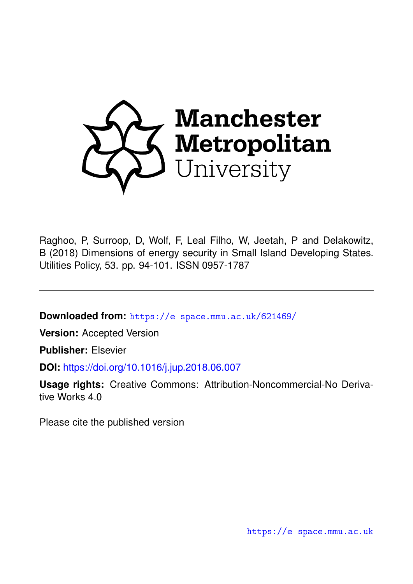

Raghoo, P, Surroop, D, Wolf, F, Leal Filho, W, Jeetah, P and Delakowitz, B (2018) Dimensions of energy security in Small Island Developing States. Utilities Policy, 53. pp. 94-101. ISSN 0957-1787

**Downloaded from:** <https://e-space.mmu.ac.uk/621469/>

**Version:** Accepted Version

**Publisher:** Elsevier

**DOI:** <https://doi.org/10.1016/j.jup.2018.06.007>

**Usage rights:** Creative Commons: Attribution-Noncommercial-No Derivative Works 4.0

Please cite the published version

<https://e-space.mmu.ac.uk>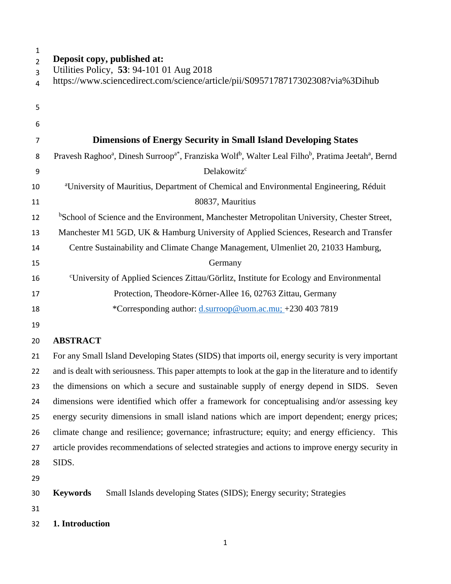#### **Deposit copy, published at:**

- Utilities Policy, **53**: 94-101 01 Aug 2018
- https://www.sciencedirect.com/science/article/pii/S0957178717302308?via%3Dihub

| 5              |                                                                                                                                                                 |
|----------------|-----------------------------------------------------------------------------------------------------------------------------------------------------------------|
| 6              |                                                                                                                                                                 |
| $\overline{7}$ | <b>Dimensions of Energy Security in Small Island Developing States</b>                                                                                          |
| 8              | Pravesh Raghoo <sup>a</sup> , Dinesh Surroop <sup>a*</sup> , Franziska Wolf <sup>b</sup> , Walter Leal Filho <sup>b</sup> , Pratima Jeetah <sup>a</sup> , Bernd |
| 9              | Delakowitz <sup>c</sup>                                                                                                                                         |
| 10             | <sup>a</sup> University of Mauritius, Department of Chemical and Environmental Engineering, Réduit                                                              |
| 11             | 80837, Mauritius                                                                                                                                                |
| 12             | <sup>b</sup> School of Science and the Environment, Manchester Metropolitan University, Chester Street,                                                         |
| 13             | Manchester M1 5GD, UK & Hamburg University of Applied Sciences, Research and Transfer                                                                           |
| 14             | Centre Sustainability and Climate Change Management, Ulmenliet 20, 21033 Hamburg,                                                                               |
| 15             | Germany                                                                                                                                                         |
| 16             | <sup>c</sup> University of Applied Sciences Zittau/Görlitz, Institute for Ecology and Environmental                                                             |
| 17             | Protection, Theodore-Körner-Allee 16, 02763 Zittau, Germany                                                                                                     |
| 18             | *Corresponding author: d.surroop@uom.ac.mu; +230 403 7819                                                                                                       |
|                |                                                                                                                                                                 |

# **ABSTRACT**

 For any Small Island Developing States (SIDS) that imports oil, energy security is very important 22 and is dealt with seriousness. This paper attempts to look at the gap in the literature and to identify the dimensions on which a secure and sustainable supply of energy depend in SIDS. Seven dimensions were identified which offer a framework for conceptualising and/or assessing key energy security dimensions in small island nations which are import dependent; energy prices; climate change and resilience; governance; infrastructure; equity; and energy efficiency. This article provides recommendations of selected strategies and actions to improve energy security in SIDS.

**Keywords** Small Islands developing States (SIDS); Energy security; Strategies

**1. Introduction**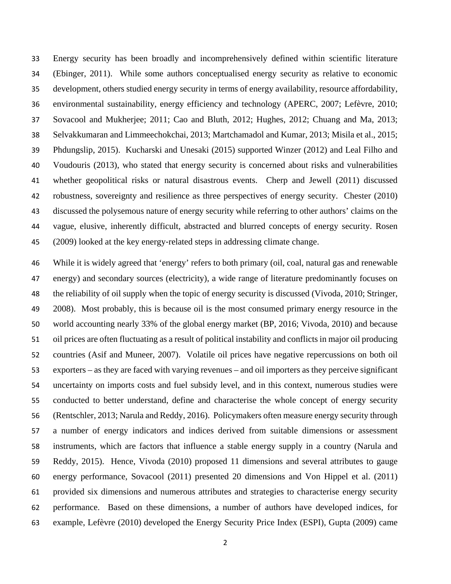Energy security has been broadly and incomprehensively defined within scientific literature (Ebinger, 2011). While some authors conceptualised energy security as relative to economic development, others studied energy security in terms of energy availability, resource affordability, environmental sustainability, energy efficiency and technology (APERC, 2007; Lefèvre, 2010; Sovacool and Mukherjee; 2011; Cao and Bluth, 2012; Hughes, 2012; Chuang and Ma, 2013; Selvakkumaran and Limmeechokchai, 2013; Martchamadol and Kumar, 2013; Misila et al., 2015; Phdungslip, 2015). Kucharski and Unesaki (2015) supported Winzer (2012) and Leal Filho and Voudouris (2013), who stated that energy security is concerned about risks and vulnerabilities whether geopolitical risks or natural disastrous events. Cherp and Jewell (2011) discussed robustness, sovereignty and resilience as three perspectives of energy security. Chester (2010) discussed the polysemous nature of energy security while referring to other authors' claims on the vague, elusive, inherently difficult, abstracted and blurred concepts of energy security. Rosen (2009) looked at the key energy‐related steps in addressing climate change.

 While it is widely agreed that 'energy' refers to both primary (oil, coal, natural gas and renewable energy) and secondary sources (electricity), a wide range of literature predominantly focuses on the reliability of oil supply when the topic of energy security is discussed (Vivoda, 2010; Stringer, 2008). Most probably, this is because oil is the most consumed primary energy resource in the world accounting nearly 33% of the global energy market (BP, 2016; Vivoda, 2010) and because oil prices are often fluctuating as a result of political instability and conflicts in major oil producing countries (Asif and Muneer, 2007). Volatile oil prices have negative repercussions on both oil exporters – as they are faced with varying revenues – and oil importers as they perceive significant uncertainty on imports costs and fuel subsidy level, and in this context, numerous studies were conducted to better understand, define and characterise the whole concept of energy security (Rentschler, 2013; Narula and Reddy, 2016). Policymakers often measure energy security through a number of energy indicators and indices derived from suitable dimensions or assessment instruments, which are factors that influence a stable energy supply in a country (Narula and Reddy, 2015). Hence, Vivoda (2010) proposed 11 dimensions and several attributes to gauge energy performance, Sovacool (2011) presented 20 dimensions and Von Hippel et al. (2011) provided six dimensions and numerous attributes and strategies to characterise energy security performance. Based on these dimensions, a number of authors have developed indices, for example, Lefèvre (2010) developed the Energy Security Price Index (ESPI), Gupta (2009) came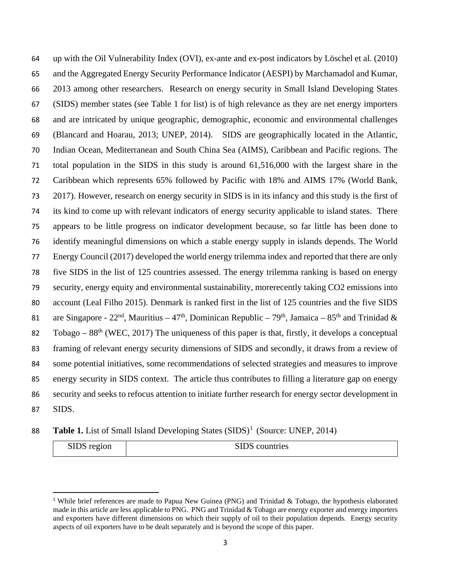up with the Oil Vulnerability Index (OVI), ex-ante and ex-post indicators by Löschel et al. (2010) and the Aggregated Energy Security Performance Indicator (AESPI) by Marchamadol and Kumar, 2013 among other researchers. Research on energy security in Small Island Developing States (SIDS) member states (see Table 1 for list) is of high relevance as they are net energy importers and are intricated by unique geographic, demographic, economic and environmental challenges (Blancard and Hoarau, 2013; UNEP, 2014). SIDS are geographically located in the Atlantic, Indian Ocean, Mediterranean and South China Sea (AIMS), Caribbean and Pacific regions. The total population in the SIDS in this study is around 61,516,000 with the largest share in the Caribbean which represents 65% followed by Pacific with 18% and AIMS 17% (World Bank, 2017). However, research on energy security in SIDS is in its infancy and this study is the first of its kind to come up with relevant indicators of energy security applicable to island states. There appears to be little progress on indicator development because, so far little has been done to identify meaningful dimensions on which a stable energy supply in islands depends. The World Energy Council (2017) developed the world energy trilemma index and reported that there are only five SIDS in the list of 125 countries assessed. The energy trilemma ranking is based on energy security, energy equity and environmental sustainability, morerecently taking CO2 emissions into account (Leal Filho 2015). Denmark is ranked first in the list of 125 countries and the five SIDS 81 are Singapore -  $22<sup>nd</sup>$ , Mauritius –  $47<sup>th</sup>$ , Dominican Republic –  $79<sup>th</sup>$ , Jamaica –  $85<sup>th</sup>$  and Trinidad & 82 Tobago –  $88<sup>th</sup>$  (WEC, 2017) The uniqueness of this paper is that, firstly, it develops a conceptual framing of relevant energy security dimensions of SIDS and secondly, it draws from a review of some potential initiatives, some recommendations of selected strategies and measures to improve energy security in SIDS context. The article thus contributes to filling a literature gap on energy security and seeks to refocus attention to initiate further research for energy sector development in SIDS.

**Table [1](#page-3-0).** List of Small Island Developing States (SIDS)<sup>1</sup> (Source: UNEP, 2014)

| SIDS region | SIDS countries |
|-------------|----------------|
|-------------|----------------|

<span id="page-3-0"></span> While brief references are made to Papua New Guinea (PNG) and Trinidad & Tobago, the hypothesis elaborated made in this article are less applicable to PNG. PNG and Trinidad  $&$  Tobago are energy exporter and energy importers and exporters have different dimensions on which their supply of oil to their population depends. Energy security aspects of oil exporters have to be dealt separately and is beyond the scope of this paper.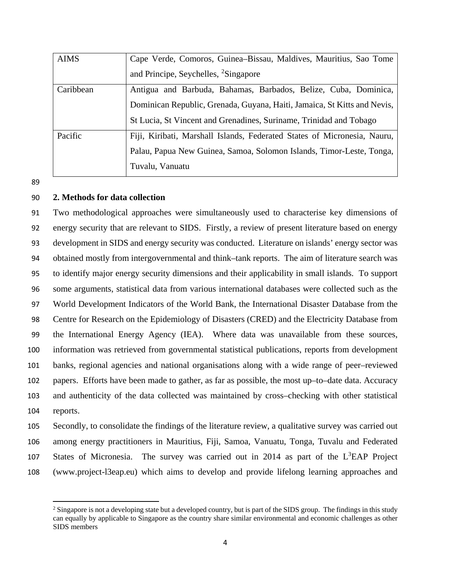| <b>AIMS</b> | Cape Verde, Comoros, Guinea-Bissau, Maldives, Mauritius, Sao Tome        |  |  |  |  |
|-------------|--------------------------------------------------------------------------|--|--|--|--|
|             | and Principe, Seychelles, <sup>2</sup> Singapore                         |  |  |  |  |
| Caribbean   | Antigua and Barbuda, Bahamas, Barbados, Belize, Cuba, Dominica,          |  |  |  |  |
|             | Dominican Republic, Grenada, Guyana, Haiti, Jamaica, St Kitts and Nevis, |  |  |  |  |
|             | St Lucia, St Vincent and Grenadines, Suriname, Trinidad and Tobago       |  |  |  |  |
| Pacific     | Fiji, Kiribati, Marshall Islands, Federated States of Micronesia, Nauru, |  |  |  |  |
|             | Palau, Papua New Guinea, Samoa, Solomon Islands, Timor-Leste, Tonga,     |  |  |  |  |
|             | Tuvalu, Vanuatu                                                          |  |  |  |  |

89

 $\overline{a}$ 

## 90 **2. Methods for data collection**

 Two methodological approaches were simultaneously used to characterise key dimensions of energy security that are relevant to SIDS. Firstly, a review of present literature based on energy development in SIDS and energy security was conducted. Literature on islands' energy sector was obtained mostly from intergovernmental and think–tank reports. The aim of literature search was to identify major energy security dimensions and their applicability in small islands. To support some arguments, statistical data from various international databases were collected such as the World Development Indicators of the World Bank, the International Disaster Database from the Centre for Research on the Epidemiology of Disasters (CRED) and the Electricity Database from the International Energy Agency (IEA). Where data was unavailable from these sources, information was retrieved from governmental statistical publications, reports from development banks, regional agencies and national organisations along with a wide range of peer–reviewed papers. Efforts have been made to gather, as far as possible, the most up–to–date data. Accuracy and authenticity of the data collected was maintained by cross–checking with other statistical 104 reports.

 Secondly, to consolidate the findings of the literature review, a qualitative survey was carried out among energy practitioners in Mauritius, Fiji, Samoa, Vanuatu, Tonga, Tuvalu and Federated 107 States of Micronesia. The survey was carried out in 2014 as part of the  $L<sup>3</sup>EAP$  Project (www.project-l3eap.eu) which aims to develop and provide lifelong learning approaches and

<span id="page-4-0"></span><sup>&</sup>lt;sup>2</sup> Singapore is not a developing state but a developed country, but is part of the SIDS group. The findings in this study can equally by applicable to Singapore as the country share similar environmental and economic challenges as other SIDS members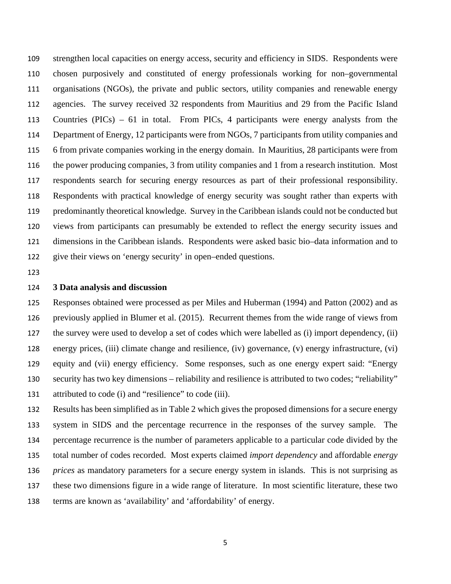strengthen local capacities on energy access, security and efficiency in SIDS. Respondents were chosen purposively and constituted of energy professionals working for non–governmental organisations (NGOs), the private and public sectors, utility companies and renewable energy agencies. The survey received 32 respondents from Mauritius and 29 from the Pacific Island Countries (PICs) – 61 in total. From PICs, 4 participants were energy analysts from the Department of Energy, 12 participants were from NGOs, 7 participants from utility companies and 6 from private companies working in the energy domain. In Mauritius, 28 participants were from the power producing companies, 3 from utility companies and 1 from a research institution. Most respondents search for securing energy resources as part of their professional responsibility. Respondents with practical knowledge of energy security was sought rather than experts with predominantly theoretical knowledge. Survey in the Caribbean islands could not be conducted but views from participants can presumably be extended to reflect the energy security issues and dimensions in the Caribbean islands. Respondents were asked basic bio–data information and to give their views on 'energy security' in open–ended questions.

#### **3 Data analysis and discussion**

 Responses obtained were processed as per Miles and Huberman (1994) and Patton (2002) and as previously applied in Blumer et al. (2015). Recurrent themes from the wide range of views from the survey were used to develop a set of codes which were labelled as (i) import dependency, (ii) energy prices, (iii) climate change and resilience, (iv) governance, (v) energy infrastructure, (vi) equity and (vii) energy efficiency. Some responses, such as one energy expert said: "Energy security has two key dimensions – reliability and resilience is attributed to two codes; "reliability" attributed to code (i) and "resilience" to code (iii).

 Results has been simplified as in Table 2 which gives the proposed dimensions for a secure energy system in SIDS and the percentage recurrence in the responses of the survey sample. The percentage recurrence is the number of parameters applicable to a particular code divided by the total number of codes recorded. Most experts claimed *import dependency* and affordable *energy prices* as mandatory parameters for a secure energy system in islands. This is not surprising as these two dimensions figure in a wide range of literature. In most scientific literature, these two terms are known as 'availability' and 'affordability' of energy.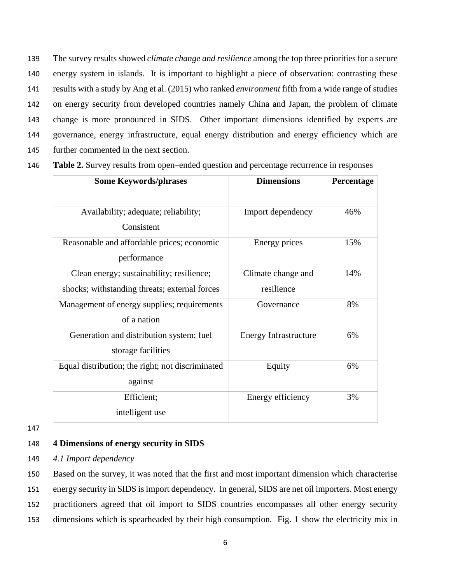The survey results showed *climate change and resilience* among the top three prioritiesfor a secure energy system in islands. It is important to highlight a piece of observation: contrasting these results with a study by Ang et al. (2015) who ranked *environment* fifth from a wide range of studies on energy security from developed countries namely China and Japan, the problem of climate change is more pronounced in SIDS. Other important dimensions identified by experts are governance, energy infrastructure, equal energy distribution and energy efficiency which are further commented in the next section.

146 **Table 2.** Survey results from open–ended question and percentage recurrence in responses

| <b>Some Keywords/phrases</b>                                                               | <b>Dimensions</b>                | Percentage |
|--------------------------------------------------------------------------------------------|----------------------------------|------------|
| Availability; adequate; reliability;<br>Consistent                                         | Import dependency                | 46%        |
| Reasonable and affordable prices; economic<br>performance                                  | Energy prices                    | 15%        |
| Clean energy; sustainability; resilience;<br>shocks; withstanding threats; external forces | Climate change and<br>resilience | 14%        |
| Management of energy supplies; requirements<br>of a nation                                 | Governance                       | 8%         |
| Generation and distribution system; fuel<br>storage facilities                             | Energy Infrastructure            | 6%         |
| Equal distribution; the right; not discriminated<br>against                                | Equity                           | 6%         |
| Efficient;<br>intelligent use                                                              | Energy efficiency                | 3%         |

147

## 148 **4 Dimensions of energy security in SIDS**

149 *4.1 Import dependency*

 Based on the survey, it was noted that the first and most important dimension which characterise energy security in SIDS is import dependency. In general, SIDS are net oil importers. Most energy practitioners agreed that oil import to SIDS countries encompasses all other energy security dimensions which is spearheaded by their high consumption. Fig. 1 show the electricity mix in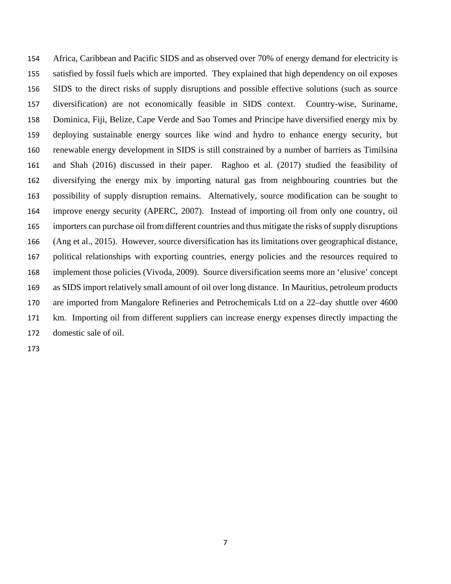Africa, Caribbean and Pacific SIDS and as observed over 70% of energy demand for electricity is satisfied by fossil fuels which are imported. They explained that high dependency on oil exposes SIDS to the direct risks of supply disruptions and possible effective solutions (such as source diversification) are not economically feasible in SIDS context. Country-wise, Suriname, Dominica, Fiji, Belize, Cape Verde and Sao Tomes and Principe have diversified energy mix by deploying sustainable energy sources like wind and hydro to enhance energy security, but renewable energy development in SIDS is still constrained by a number of barriers as Timilsina and Shah (2016) discussed in their paper. Raghoo et al. (2017) studied the feasibility of diversifying the energy mix by importing natural gas from neighbouring countries but the possibility of supply disruption remains. Alternatively, source modification can be sought to improve energy security (APERC, 2007). Instead of importing oil from only one country, oil importers can purchase oil from different countries and thus mitigate the risks of supply disruptions (Ang et al., 2015). However, source diversification has its limitations over geographical distance, political relationships with exporting countries, energy policies and the resources required to implement those policies (Vivoda, 2009). Source diversification seems more an 'elusive' concept as SIDS import relatively small amount of oil over long distance. In Mauritius, petroleum products are imported from Mangalore Refineries and Petrochemicals Ltd on a 22–day shuttle over 4600 km. Importing oil from different suppliers can increase energy expenses directly impacting the domestic sale of oil.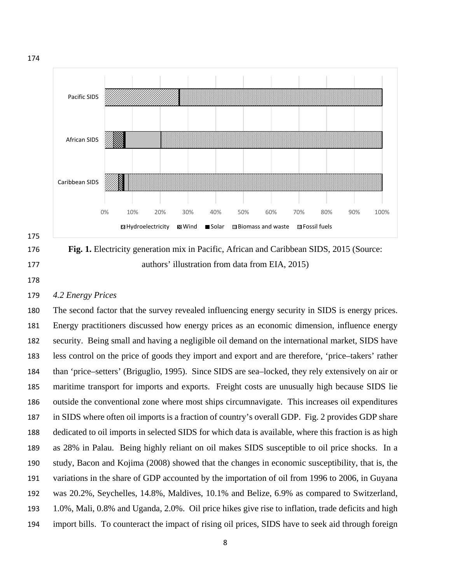





## *4.2 Energy Prices*

 The second factor that the survey revealed influencing energy security in SIDS is energy prices. Energy practitioners discussed how energy prices as an economic dimension, influence energy security. Being small and having a negligible oil demand on the international market, SIDS have less control on the price of goods they import and export and are therefore, 'price–takers' rather than 'price–setters' (Briguglio, 1995). Since SIDS are sea–locked, they rely extensively on air or maritime transport for imports and exports. Freight costs are unusually high because SIDS lie outside the conventional zone where most ships circumnavigate. This increases oil expenditures in SIDS where often oil imports is a fraction of country's overall GDP. Fig. 2 provides GDP share dedicated to oil imports in selected SIDS for which data is available, where this fraction is as high as 28% in Palau. Being highly reliant on oil makes SIDS susceptible to oil price shocks. In a study, Bacon and Kojima (2008) showed that the changes in economic susceptibility, that is, the variations in the share of GDP accounted by the importation of oil from 1996 to 2006, in Guyana was 20.2%, Seychelles, 14.8%, Maldives, 10.1% and Belize, 6.9% as compared to Switzerland, 1.0%, Mali, 0.8% and Uganda, 2.0%. Oil price hikes give rise to inflation, trade deficits and high import bills. To counteract the impact of rising oil prices, SIDS have to seek aid through foreign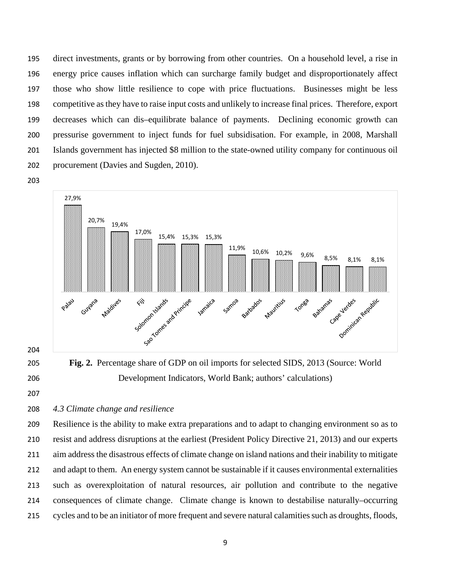direct investments, grants or by borrowing from other countries. On a household level, a rise in energy price causes inflation which can surcharge family budget and disproportionately affect those who show little resilience to cope with price fluctuations. Businesses might be less competitive as they have to raise input costs and unlikely to increase final prices. Therefore, export decreases which can dis–equilibrate balance of payments. Declining economic growth can pressurise government to inject funds for fuel subsidisation. For example, in 2008, Marshall Islands government has injected \$8 million to the state-owned utility company for continuous oil procurement (Davies and Sugden, 2010).



- 
- 

 **Fig. 2.** Percentage share of GDP on oil imports for selected SIDS, 2013 (Source: World Development Indicators, World Bank; authors' calculations)

# *4.3 Climate change and resilience*

 Resilience is the ability to make extra preparations and to adapt to changing environment so as to resist and address disruptions at the earliest (President Policy Directive 21, 2013) and our experts aim address the disastrous effects of climate change on island nations and their inability to mitigate and adapt to them. An energy system cannot be sustainable if it causes environmental externalities such as overexploitation of natural resources, air pollution and contribute to the negative consequences of climate change. Climate change is known to destabilise naturally–occurring cycles and to be an initiator of more frequent and severe natural calamities such as droughts, floods,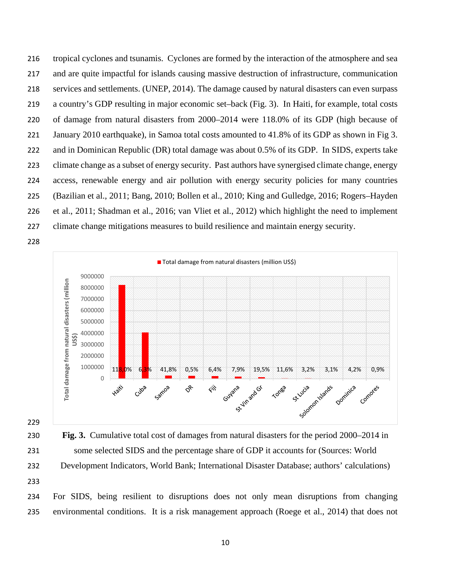tropical cyclones and tsunamis. Cyclones are formed by the interaction of the atmosphere and sea and are quite impactful for islands causing massive destruction of infrastructure, communication services and settlements. (UNEP, 2014). The damage caused by natural disasters can even surpass a country's GDP resulting in major economic set–back (Fig. 3). In Haiti, for example, total costs of damage from natural disasters from 2000–2014 were 118.0% of its GDP (high because of January 2010 earthquake), in Samoa total costs amounted to 41.8% of its GDP as shown in Fig 3. and in Dominican Republic (DR) total damage was about 0.5% of its GDP. In SIDS, experts take climate change as a subset of energy security. Past authors have synergised climate change, energy access, renewable energy and air pollution with energy security policies for many countries (Bazilian et al., 2011; Bang, 2010; Bollen et al., 2010; King and Gulledge, 2016; Rogers–Hayden et al., 2011; Shadman et al., 2016; van Vliet et al., 2012) which highlight the need to implement climate change mitigations measures to build resilience and maintain energy security.





 **Fig. 3.** Cumulative total cost of damages from natural disasters for the period 2000–2014 in some selected SIDS and the percentage share of GDP it accounts for (Sources: World Development Indicators, World Bank; International Disaster Database; authors' calculations)

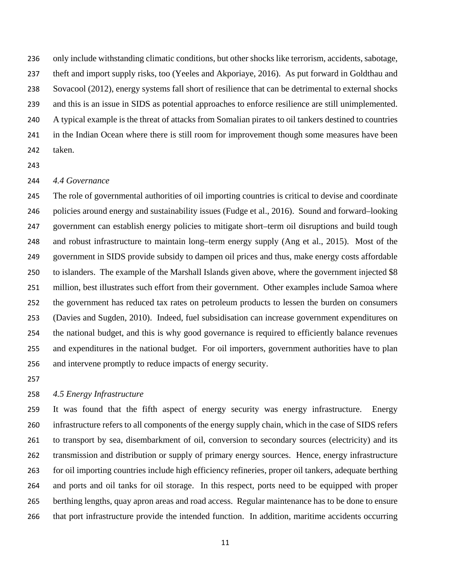only include withstanding climatic conditions, but other shocks like terrorism, accidents, sabotage, theft and import supply risks, too (Yeeles and Akporiaye, 2016). As put forward in Goldthau and Sovacool (2012), energy systems fall short of resilience that can be detrimental to external shocks and this is an issue in SIDS as potential approaches to enforce resilience are still unimplemented. A typical example is the threat of attacks from Somalian pirates to oil tankers destined to countries in the Indian Ocean where there is still room for improvement though some measures have been taken.

## *4.4 Governance*

 The role of governmental authorities of oil importing countries is critical to devise and coordinate policies around energy and sustainability issues (Fudge et al., 2016). Sound and forward–looking government can establish energy policies to mitigate short–term oil disruptions and build tough and robust infrastructure to maintain long–term energy supply (Ang et al., 2015). Most of the government in SIDS provide subsidy to dampen oil prices and thus, make energy costs affordable to islanders. The example of the Marshall Islands given above, where the government injected \$8 million, best illustrates such effort from their government. Other examples include Samoa where the government has reduced tax rates on petroleum products to lessen the burden on consumers (Davies and Sugden, 2010). Indeed, fuel subsidisation can increase government expenditures on the national budget, and this is why good governance is required to efficiently balance revenues and expenditures in the national budget. For oil importers, government authorities have to plan and intervene promptly to reduce impacts of energy security.

## *4.5 Energy Infrastructure*

 It was found that the fifth aspect of energy security was energy infrastructure. Energy infrastructure refers to all components of the energy supply chain, which in the case of SIDS refers to transport by sea, disembarkment of oil, conversion to secondary sources (electricity) and its transmission and distribution or supply of primary energy sources. Hence, energy infrastructure for oil importing countries include high efficiency refineries, proper oil tankers, adequate berthing and ports and oil tanks for oil storage. In this respect, ports need to be equipped with proper berthing lengths, quay apron areas and road access. Regular maintenance has to be done to ensure that port infrastructure provide the intended function. In addition, maritime accidents occurring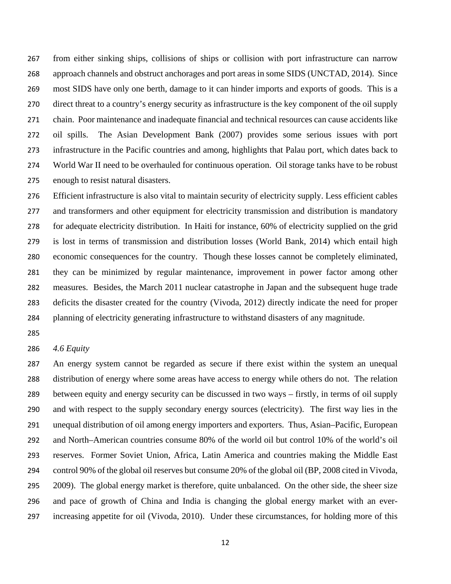from either sinking ships, collisions of ships or collision with port infrastructure can narrow approach channels and obstruct anchorages and port areas in some SIDS (UNCTAD, 2014). Since most SIDS have only one berth, damage to it can hinder imports and exports of goods. This is a direct threat to a country's energy security as infrastructure is the key component of the oil supply chain. Poor maintenance and inadequate financial and technical resources can cause accidents like oil spills. The Asian Development Bank (2007) provides some serious issues with port infrastructure in the Pacific countries and among, highlights that Palau port, which dates back to World War II need to be overhauled for continuous operation. Oil storage tanks have to be robust enough to resist natural disasters.

 Efficient infrastructure is also vital to maintain security of electricity supply. Less efficient cables 277 and transformers and other equipment for electricity transmission and distribution is mandatory for adequate electricity distribution. In Haiti for instance, 60% of electricity supplied on the grid is lost in terms of transmission and distribution losses (World Bank, 2014) which entail high economic consequences for the country. Though these losses cannot be completely eliminated, they can be minimized by regular maintenance, improvement in power factor among other measures. Besides, the March 2011 nuclear catastrophe in Japan and the subsequent huge trade deficits the disaster created for the country (Vivoda, 2012) directly indicate the need for proper planning of electricity generating infrastructure to withstand disasters of any magnitude.

## *4.6 Equity*

 An energy system cannot be regarded as secure if there exist within the system an unequal distribution of energy where some areas have access to energy while others do not. The relation between equity and energy security can be discussed in two ways – firstly, in terms of oil supply and with respect to the supply secondary energy sources (electricity). The first way lies in the unequal distribution of oil among energy importers and exporters. Thus, Asian–Pacific, European and North–American countries consume 80% of the world oil but control 10% of the world's oil reserves. Former Soviet Union, Africa, Latin America and countries making the Middle East control 90% of the global oil reserves but consume 20% of the global oil (BP, 2008 cited in Vivoda, 2009). The global energy market is therefore, quite unbalanced. On the other side, the sheer size and pace of growth of China and India is changing the global energy market with an ever-increasing appetite for oil (Vivoda, 2010). Under these circumstances, for holding more of this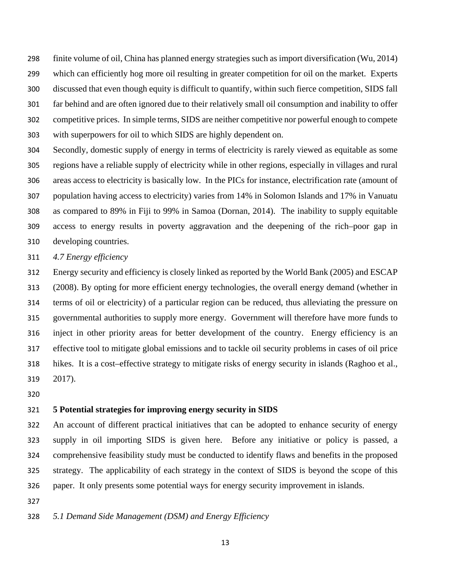finite volume of oil, China has planned energy strategies such as import diversification (Wu, 2014) which can efficiently hog more oil resulting in greater competition for oil on the market. Experts discussed that even though equity is difficult to quantify, within such fierce competition, SIDS fall far behind and are often ignored due to their relatively small oil consumption and inability to offer competitive prices. In simple terms, SIDS are neither competitive nor powerful enough to compete with superpowers for oil to which SIDS are highly dependent on.

 Secondly, domestic supply of energy in terms of electricity is rarely viewed as equitable as some regions have a reliable supply of electricity while in other regions, especially in villages and rural areas access to electricity is basically low. In the PICs for instance, electrification rate (amount of population having access to electricity) varies from 14% in Solomon Islands and 17% in Vanuatu as compared to 89% in Fiji to 99% in Samoa (Dornan, 2014). The inability to supply equitable access to energy results in poverty aggravation and the deepening of the rich–poor gap in developing countries.

*4.7 Energy efficiency*

 Energy security and efficiency is closely linked as reported by the World Bank (2005) and ESCAP (2008). By opting for more efficient energy technologies, the overall energy demand (whether in terms of oil or electricity) of a particular region can be reduced, thus alleviating the pressure on governmental authorities to supply more energy. Government will therefore have more funds to inject in other priority areas for better development of the country. Energy efficiency is an effective tool to mitigate global emissions and to tackle oil security problems in cases of oil price hikes. It is a cost–effective strategy to mitigate risks of energy security in islands (Raghoo et al., 2017).

## **5 Potential strategies for improving energy security in SIDS**

 An account of different practical initiatives that can be adopted to enhance security of energy supply in oil importing SIDS is given here. Before any initiative or policy is passed, a comprehensive feasibility study must be conducted to identify flaws and benefits in the proposed strategy. The applicability of each strategy in the context of SIDS is beyond the scope of this paper. It only presents some potential ways for energy security improvement in islands.

*5.1 Demand Side Management (DSM) and Energy Efficiency*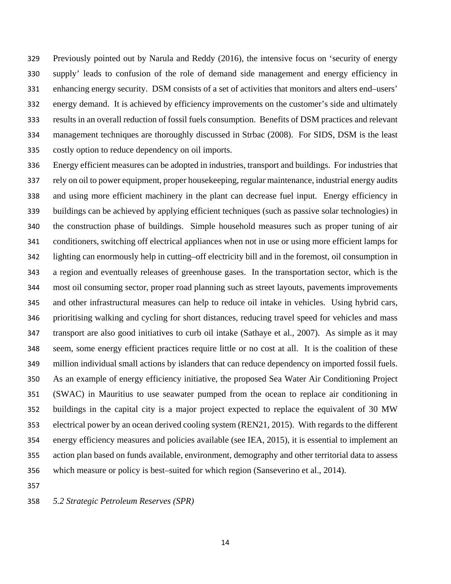Previously pointed out by Narula and Reddy (2016), the intensive focus on 'security of energy supply' leads to confusion of the role of demand side management and energy efficiency in enhancing energy security. DSM consists of a set of activities that monitors and alters end–users' energy demand. It is achieved by efficiency improvements on the customer's side and ultimately results in an overall reduction of fossil fuels consumption. Benefits of DSM practices and relevant management techniques are thoroughly discussed in Strbac (2008). For SIDS, DSM is the least costly option to reduce dependency on oil imports.

 Energy efficient measures can be adopted in industries, transport and buildings. For industries that rely on oil to power equipment, proper housekeeping, regular maintenance, industrial energy audits and using more efficient machinery in the plant can decrease fuel input. Energy efficiency in buildings can be achieved by applying efficient techniques (such as passive solar technologies) in the construction phase of buildings. Simple household measures such as proper tuning of air conditioners, switching off electrical appliances when not in use or using more efficient lamps for lighting can enormously help in cutting–off electricity bill and in the foremost, oil consumption in a region and eventually releases of greenhouse gases. In the transportation sector, which is the most oil consuming sector, proper road planning such as street layouts, pavements improvements and other infrastructural measures can help to reduce oil intake in vehicles. Using hybrid cars, prioritising walking and cycling for short distances, reducing travel speed for vehicles and mass transport are also good initiatives to curb oil intake (Sathaye et al., 2007). As simple as it may seem, some energy efficient practices require little or no cost at all. It is the coalition of these million individual small actions by islanders that can reduce dependency on imported fossil fuels. As an example of energy efficiency initiative, the proposed Sea Water Air Conditioning Project (SWAC) in Mauritius to use seawater pumped from the ocean to replace air conditioning in buildings in the capital city is a major project expected to replace the equivalent of 30 MW electrical power by an ocean derived cooling system (REN21, 2015). With regards to the different energy efficiency measures and policies available (see IEA, 2015), it is essential to implement an action plan based on funds available, environment, demography and other territorial data to assess which measure or policy is best–suited for which region (Sanseverino et al., 2014).

*5.2 Strategic Petroleum Reserves (SPR)*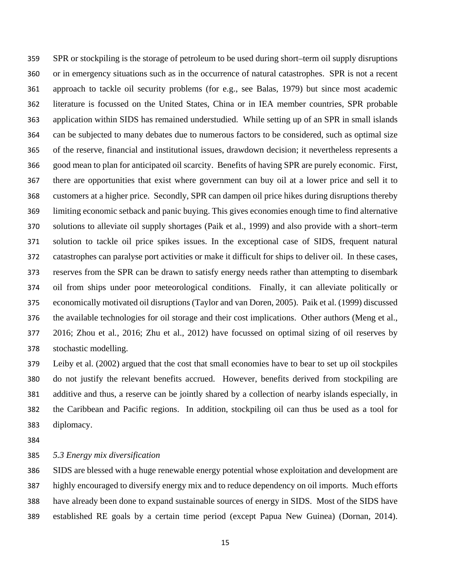SPR or stockpiling is the storage of petroleum to be used during short–term oil supply disruptions or in emergency situations such as in the occurrence of natural catastrophes. SPR is not a recent approach to tackle oil security problems (for e.g., see Balas, 1979) but since most academic literature is focussed on the United States, China or in IEA member countries, SPR probable application within SIDS has remained understudied. While setting up of an SPR in small islands can be subjected to many debates due to numerous factors to be considered, such as optimal size of the reserve, financial and institutional issues, drawdown decision; it nevertheless represents a good mean to plan for anticipated oil scarcity. Benefits of having SPR are purely economic. First, there are opportunities that exist where government can buy oil at a lower price and sell it to customers at a higher price. Secondly, SPR can dampen oil price hikes during disruptions thereby limiting economic setback and panic buying. This gives economies enough time to find alternative solutions to alleviate oil supply shortages (Paik et al., 1999) and also provide with a short–term solution to tackle oil price spikes issues. In the exceptional case of SIDS, frequent natural catastrophes can paralyse port activities or make it difficult for ships to deliver oil. In these cases, reserves from the SPR can be drawn to satisfy energy needs rather than attempting to disembark oil from ships under poor meteorological conditions. Finally, it can alleviate politically or economically motivated oil disruptions (Taylor and van Doren, 2005). Paik et al. (1999) discussed the available technologies for oil storage and their cost implications. Other authors (Meng et al., 2016; Zhou et al*.*, 2016; Zhu et al., 2012) have focussed on optimal sizing of oil reserves by stochastic modelling.

 Leiby et al. (2002) argued that the cost that small economies have to bear to set up oil stockpiles do not justify the relevant benefits accrued. However, benefits derived from stockpiling are additive and thus, a reserve can be jointly shared by a collection of nearby islands especially, in the Caribbean and Pacific regions. In addition, stockpiling oil can thus be used as a tool for diplomacy.

*5.3 Energy mix diversification*

 SIDS are blessed with a huge renewable energy potential whose exploitation and development are highly encouraged to diversify energy mix and to reduce dependency on oil imports. Much efforts have already been done to expand sustainable sources of energy in SIDS. Most of the SIDS have established RE goals by a certain time period (except Papua New Guinea) (Dornan, 2014).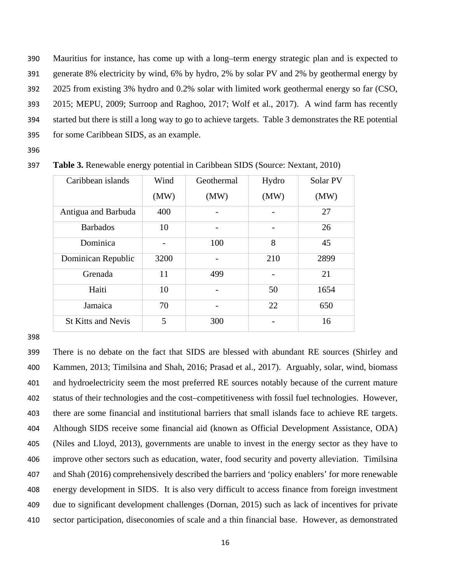Mauritius for instance, has come up with a long–term energy strategic plan and is expected to generate 8% electricity by wind, 6% by hydro, 2% by solar PV and 2% by geothermal energy by 2025 from existing 3% hydro and 0.2% solar with limited work geothermal energy so far (CSO, 2015; MEPU, 2009; Surroop and Raghoo, 2017; Wolf et al., 2017). A wind farm has recently started but there is still a long way to go to achieve targets. Table 3 demonstrates the RE potential for some Caribbean SIDS, as an example.

396

| Caribbean islands         | Wind | Geothermal | Hydro | Solar PV |
|---------------------------|------|------------|-------|----------|
|                           | (MW) | (MW)       | (MW)  | (MW)     |
| Antigua and Barbuda       | 400  |            |       | 27       |
| <b>Barbados</b>           | 10   |            | -     | 26       |
| Dominica                  |      | 100        | 8     | 45       |
| Dominican Republic        | 3200 |            | 210   | 2899     |
| Grenada                   | 11   | 499        |       | 21       |
| Haiti                     | 10   |            | 50    | 1654     |
| Jamaica                   | 70   |            | 22    | 650      |
| <b>St Kitts and Nevis</b> | 5    | 300        |       | 16       |

397 **Table 3.** Renewable energy potential in Caribbean SIDS (Source: Nextant, 2010)

398

 There is no debate on the fact that SIDS are blessed with abundant RE sources (Shirley and Kammen, 2013; Timilsina and Shah, 2016; Prasad et al., 2017). Arguably, solar, wind, biomass and hydroelectricity seem the most preferred RE sources notably because of the current mature status of their technologies and the cost–competitiveness with fossil fuel technologies. However, there are some financial and institutional barriers that small islands face to achieve RE targets. Although SIDS receive some financial aid (known as Official Development Assistance, ODA) (Niles and Lloyd, 2013), governments are unable to invest in the energy sector as they have to improve other sectors such as education, water, food security and poverty alleviation. Timilsina and Shah (2016) comprehensively described the barriers and 'policy enablers' for more renewable energy development in SIDS. It is also very difficult to access finance from foreign investment due to significant development challenges (Dornan, 2015) such as lack of incentives for private sector participation, diseconomies of scale and a thin financial base. However, as demonstrated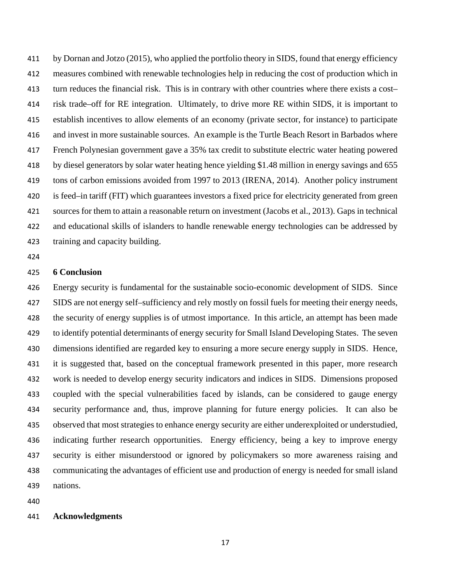by Dornan and Jotzo (2015), who applied the portfolio theory in SIDS, found that energy efficiency measures combined with renewable technologies help in reducing the cost of production which in turn reduces the financial risk. This is in contrary with other countries where there exists a cost– risk trade–off for RE integration. Ultimately, to drive more RE within SIDS, it is important to establish incentives to allow elements of an economy (private sector, for instance) to participate and invest in more sustainable sources. An example is the Turtle Beach Resort in Barbados where French Polynesian government gave a 35% tax credit to substitute electric water heating powered by diesel generators by solar water heating hence yielding \$1.48 million in energy savings and 655 tons of carbon emissions avoided from 1997 to 2013 (IRENA, 2014). Another policy instrument is feed–in tariff (FIT) which guarantees investors a fixed price for electricity generated from green sources for them to attain a reasonable return on investment (Jacobs et al., 2013). Gaps in technical and educational skills of islanders to handle renewable energy technologies can be addressed by training and capacity building.

## **6 Conclusion**

 Energy security is fundamental for the sustainable socio-economic development of SIDS. Since SIDS are not energy self–sufficiency and rely mostly on fossil fuels for meeting their energy needs, the security of energy supplies is of utmost importance. In this article, an attempt has been made to identify potential determinants of energy security for Small Island Developing States. The seven dimensions identified are regarded key to ensuring a more secure energy supply in SIDS. Hence, it is suggested that, based on the conceptual framework presented in this paper, more research work is needed to develop energy security indicators and indices in SIDS. Dimensions proposed coupled with the special vulnerabilities faced by islands, can be considered to gauge energy security performance and, thus, improve planning for future energy policies. It can also be observed that most strategies to enhance energy security are either underexploited or understudied, indicating further research opportunities. Energy efficiency, being a key to improve energy security is either misunderstood or ignored by policymakers so more awareness raising and communicating the advantages of efficient use and production of energy is needed for small island nations.

#### **Acknowledgments**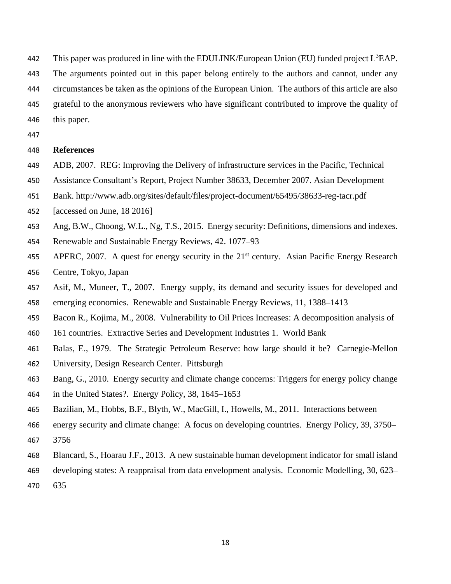442 This paper was produced in line with the EDULINK/European Union (EU) funded project  $L^3EAP$ . The arguments pointed out in this paper belong entirely to the authors and cannot, under any circumstances be taken as the opinions of the European Union. The authors of this article are also grateful to the anonymous reviewers who have significant contributed to improve the quality of this paper.

## **References**

- ADB, 2007. REG: Improving the Delivery of infrastructure services in the Pacific, Technical
- Assistance Consultant's Report, Project Number 38633, December 2007. Asian Development
- Bank. <http://www.adb.org/sites/default/files/project-document/65495/38633-reg-tacr.pdf>
- [accessed on June, 18 2016]
- Ang, B.W., Choong, W.L., Ng, T.S., 2015. Energy security: Definitions, dimensions and indexes.
- Renewable and Sustainable Energy Reviews, 42. 1077–93
- APERC, 2007. A quest for energy security in the  $21<sup>st</sup>$  century. Asian Pacific Energy Research Centre, Tokyo, Japan
- Asif, M., Muneer, T., 2007. Energy supply, its demand and security issues for developed and
- emerging economies. Renewable and Sustainable Energy Reviews, 11, 1388–1413
- Bacon R., Kojima, M., 2008. Vulnerability to Oil Prices Increases: A decomposition analysis of
- 161 countries. Extractive Series and Development Industries 1. World Bank
- Balas, E., 1979. The Strategic Petroleum Reserve: how large should it be? Carnegie-Mellon
- University, Design Research Center. Pittsburgh
- Bang, G., 2010. Energy security and climate change concerns: Triggers for energy policy change
- in the United States?. Energy Policy, 38, 1645–1653
- Bazilian, M., Hobbs, B.F., Blyth, W., MacGill, I., Howells, M., 2011. Interactions between
- energy security and climate change: A focus on developing countries. Energy Policy, 39, 3750–
- 3756
- Blancard, S., Hoarau J.F., 2013. A new sustainable human development indicator for small island
- developing states: A reappraisal from data envelopment analysis. Economic Modelling, 30, 623–
- 635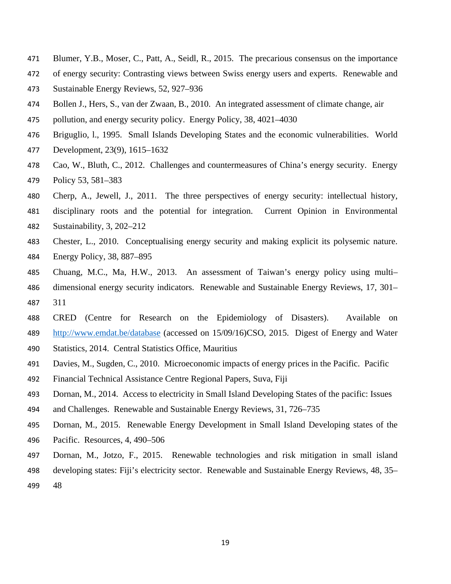- Blumer, Y.B., Moser, C., Patt, A., Seidl, R., 2015. The precarious consensus on the importance
- of energy security: Contrasting views between Swiss energy users and experts. Renewable and
- Sustainable Energy Reviews, 52, 927–936
- Bollen J., Hers, S., van der Zwaan, B., 2010. An integrated assessment of climate change, air
- pollution, and energy security policy. Energy Policy, 38, 4021–4030
- Briguglio, l., 1995. Small Islands Developing States and the economic vulnerabilities. World
- Development, 23(9), 1615–1632
- Cao, W., Bluth, C., 2012. Challenges and countermeasures of China's energy security. Energy Policy 53, 581–383
- Cherp, A., Jewell, J., 2011. The three perspectives of energy security: intellectual history,
- disciplinary roots and the potential for integration. Current Opinion in Environmental Sustainability, 3, 202–212
- Chester, L., 2010. Conceptualising energy security and making explicit its polysemic nature. Energy Policy, 38, 887–895
- Chuang, M.C., Ma, H.W., 2013. An assessment of Taiwan's energy policy using multi– dimensional energy security indicators. Renewable and Sustainable Energy Reviews, 17, 301– 311
- CRED (Centre for Research on the Epidemiology of Disasters). Available on <http://www.emdat.be/database> (accessed on 15/09/16)CSO, 2015. Digest of Energy and Water
- Statistics, 2014. Central Statistics Office, Mauritius
- Davies, M., Sugden, C., 2010. Microeconomic impacts of energy prices in the Pacific. Pacific
- Financial Technical Assistance Centre Regional Papers, Suva, Fiji
- Dornan, M., 2014. Access to electricity in Small Island Developing States of the pacific: Issues
- and Challenges. Renewable and Sustainable Energy Reviews, 31, 726–735
- Dornan, M., 2015. Renewable Energy Development in Small Island Developing states of the
- Pacific. Resources, 4, 490–506
- Dornan, M., Jotzo, F., 2015. Renewable technologies and risk mitigation in small island
- developing states: Fiji's electricity sector. Renewable and Sustainable Energy Reviews, 48, 35–
- 48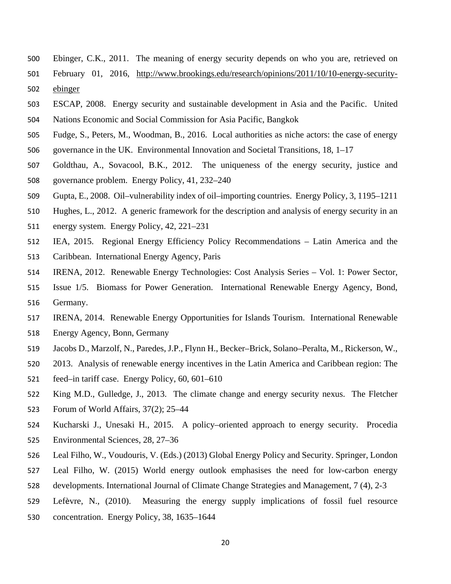- Ebinger, C.K., 2011. The meaning of energy security depends on who you are, retrieved on
- February 01, 2016, [http://www.brookings.edu/research/opinions/2011/10/10-energy-security-](http://www.brookings.edu/research/opinions/2011/10/10-energy-security-ebinger)[ebinger](http://www.brookings.edu/research/opinions/2011/10/10-energy-security-ebinger)
- ESCAP, 2008. Energy security and sustainable development in Asia and the Pacific. United Nations Economic and Social Commission for Asia Pacific, Bangkok
- Fudge, S., Peters, M., Woodman, B., 2016. Local authorities as niche actors: the case of energy governance in the UK. Environmental Innovation and Societal Transitions, 18, 1–17
- Goldthau, A., Sovacool, B.K., 2012. The uniqueness of the energy security, justice and governance problem. Energy Policy, 41, 232–240
- Gupta, E., 2008. Oil–vulnerability index of oil–importing countries. Energy Policy, 3, 1195–1211
- Hughes, L., 2012. A generic framework for the description and analysis of energy security in an
- energy system. Energy Policy, 42, 221–231
- IEA, 2015. Regional Energy Efficiency Policy Recommendations Latin America and the
- Caribbean. International Energy Agency, Paris
- IRENA, 2012. Renewable Energy Technologies: Cost Analysis Series Vol. 1: Power Sector,
- Issue 1/5. Biomass for Power Generation. International Renewable Energy Agency, Bond, Germany.
- IRENA, 2014. Renewable Energy Opportunities for Islands Tourism. International Renewable Energy Agency, Bonn, Germany
- Jacobs D., Marzolf, N., Paredes, J.P., Flynn H., Becker–Brick, Solano–Peralta, M., Rickerson, W.,
- 2013. Analysis of renewable energy incentives in the Latin America and Caribbean region: The
- feed–in tariff case. Energy Policy, 60, 601–610
- King M.D., Gulledge, J., 2013. The climate change and energy security nexus. The Fletcher
- Forum of World Affairs, 37(2); 25–44
- Kucharski J., Unesaki H., 2015. A policy–oriented approach to energy security. Procedia Environmental Sciences, 28, 27–36
- Leal Filho, W., Voudouris, V. (Eds.) (2013) Global Energy Policy and Security. Springer, London
- Leal Filho, W. (2015) World energy outlook emphasises the need for low-carbon energy
- developments. International Journal of Climate Change Strategies and Management, 7 (4), 2-3
- Lefèvre, N., (2010). Measuring the energy supply implications of fossil fuel resource
- concentration. Energy Policy, 38, 1635–1644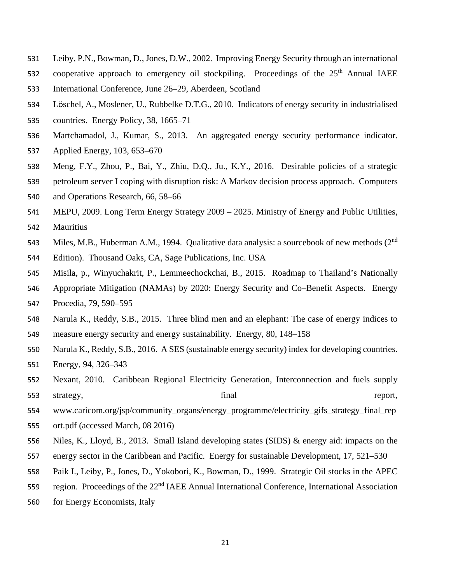- Leiby, P.N., Bowman, D., Jones, D.W., 2002. Improving Energy Security through an international
- 532 cooperative approach to emergency oil stockpiling. Proceedings of the 25<sup>th</sup> Annual IAEE
- International Conference, June 26–29, Aberdeen, Scotland
- Löschel, A., Moslener, U., Rubbelke D.T.G., 2010. Indicators of energy security in industrialised
- countries. Energy Policy, 38, 1665–71
- Martchamadol, J., Kumar, S., 2013. An aggregated energy security performance indicator. Applied Energy, 103, 653–670
- Meng, F.Y., Zhou, P., Bai, Y., Zhiu, D.Q., Ju., K.Y., 2016. Desirable policies of a strategic
- petroleum server I coping with disruption risk: A Markov decision process approach. Computers
- and Operations Research, 66, 58–66
- MEPU, 2009. Long Term Energy Strategy 2009 2025. Ministry of Energy and Public Utilities, Mauritius
- 543 Miles, M.B., Huberman A.M., 1994. Qualitative data analysis: a sourcebook of new methods (2<sup>nd</sup>
- Edition). Thousand Oaks, CA, Sage Publications, Inc. USA
- Misila, p., Winyuchakrit, P., Lemmeechockchai, B., 2015. Roadmap to Thailand's Nationally
- Appropriate Mitigation (NAMAs) by 2020: Energy Security and Co–Benefit Aspects. Energy
- Procedia, 79, 590–595
- Narula K., Reddy, S.B., 2015. Three blind men and an elephant: The case of energy indices to measure energy security and energy sustainability. Energy, 80, 148–158
- Narula K., Reddy, S.B., 2016. A SES (sustainable energy security) index for developing countries. Energy, 94, 326–343
- Nexant, 2010. Caribbean Regional Electricity Generation, Interconnection and fuels supply 553 strategy, final final report,
- 554 www.caricom.org/jsp/community\_organs/energy\_programme/electricity\_gifs\_strategy\_final\_rep
- ort.pdf (accessed March, 08 2016)
- Niles, K., Lloyd, B., 2013. Small Island developing states (SIDS) & energy aid: impacts on the
- energy sector in the Caribbean and Pacific. Energy for sustainable Development, 17, 521–530
- Paik I., Leiby, P., Jones, D., Yokobori, K., Bowman, D., 1999. Strategic Oil stocks in the APEC
- 559 region. Proceedings of the 22<sup>nd</sup> IAEE Annual International Conference, International Association
- for Energy Economists, Italy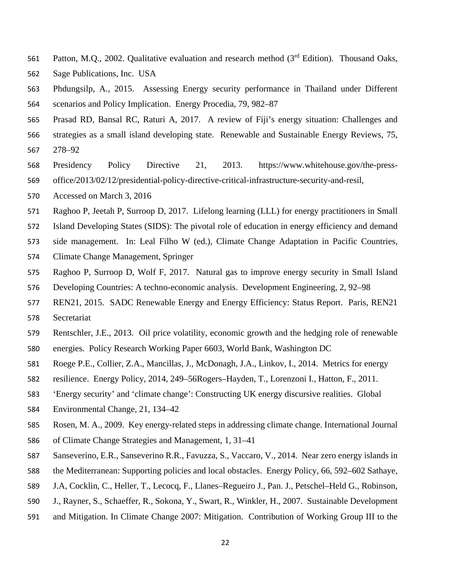- 561 Patton, M.Q., 2002. Qualitative evaluation and research method (3<sup>rd</sup> Edition). Thousand Oaks,
- Sage Publications, Inc. USA
- Phdungsilp, A., 2015. Assessing Energy security performance in Thailand under Different scenarios and Policy Implication. Energy Procedia, 79, 982–87
- Prasad RD, Bansal RC, Raturi A, 2017. A review of Fiji's energy situation: Challenges and
- strategies as a small island developing state. Renewable and Sustainable Energy Reviews, 75, 278–92
- Presidency Policy Directive 21, 2013. https://www.whitehouse.gov/the-press-office/2013/02/12/presidential-policy-directive-critical-infrastructure-security-and-resil,
- Accessed on March 3, 2016
- Raghoo P, Jeetah P, Surroop D, 2017. Lifelong learning (LLL) for energy practitioners in Small
- Island Developing States (SIDS): The pivotal role of education in energy efficiency and demand
- side management. In: Leal Filho W (ed.), Climate Change Adaptation in Pacific Countries,
- Climate Change Management, Springer
- Raghoo P, Surroop D, Wolf F, 2017. Natural gas to improve energy security in Small Island
- Developing Countries: A techno-economic analysis. Development Engineering, 2, 92–98
- REN21, 2015. SADC Renewable Energy and Energy Efficiency: Status Report. Paris, REN21 Secretariat
- Rentschler, J.E., 2013. Oil price volatility, economic growth and the hedging role of renewable
- energies. Policy Research Working Paper 6603, World Bank, Washington DC
- Roege P.E., Collier, Z.A., Mancillas, J., McDonagh, J.A., Linkov, I., 2014. Metrics for energy
- resilience. Energy Policy, 2014, 249–56Rogers–Hayden, T., Lorenzoni I., Hatton, F., 2011.
- 'Energy security' and 'climate change': Constructing UK energy discursive realities. Global
- Environmental Change, 21, 134–42
- Rosen, M. A., 2009. Key energy‐related steps in addressing climate change. International Journal
- of Climate Change Strategies and Management, 1, 31–41
- Sanseverino, E.R., Sanseverino R.R., Favuzza, S., Vaccaro, V., 2014. Near zero energy islands in
- the Mediterranean: Supporting policies and local obstacles. Energy Policy, 66, 592–602 Sathaye,
- J.A, Cocklin, C., Heller, T., Lecocq, F., Llanes–Regueiro J., Pan. J., Petschel–Held G., Robinson,
- J., Rayner, S., Schaeffer, R., Sokona, Y., Swart, R., Winkler, H., 2007. Sustainable Development
- and Mitigation. In Climate Change 2007: Mitigation. Contribution of Working Group III to the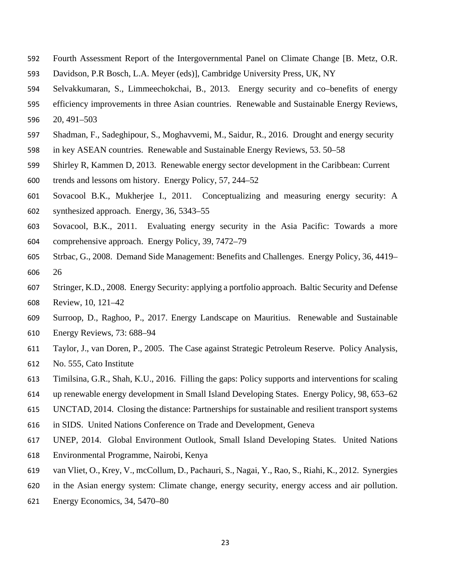- Fourth Assessment Report of the Intergovernmental Panel on Climate Change [B. Metz, O.R.
- Davidson, P.R Bosch, L.A. Meyer (eds)], Cambridge University Press, UK, NY
- Selvakkumaran, S., Limmeechokchai, B., 2013. Energy security and co–benefits of energy
- efficiency improvements in three Asian countries. Renewable and Sustainable Energy Reviews,
- 20, 491–503
- Shadman, F., Sadeghipour, S., Moghavvemi, M., Saidur, R., 2016. Drought and energy security
- in key ASEAN countries. Renewable and Sustainable Energy Reviews, 53. 50–58
- Shirley R, Kammen D, 2013. Renewable energy sector development in the Caribbean: Current
- trends and lessons om history. Energy Policy, 57, 244–52
- Sovacool B.K., Mukherjee I., 2011. Conceptualizing and measuring energy security: A
- synthesized approach. Energy, 36, 5343–55
- Sovacool, B.K., 2011. Evaluating energy security in the Asia Pacific: Towards a more comprehensive approach. Energy Policy, 39, 7472–79
- Strbac, G., 2008. Demand Side Management: Benefits and Challenges. Energy Policy, 36, 4419– 26
- Stringer, K.D., 2008. Energy Security: applying a portfolio approach. Baltic Security and Defense Review, 10, 121–42
- Surroop, D., Raghoo, P., 2017. Energy Landscape on Mauritius. Renewable and Sustainable
- Energy Reviews, 73: 688–94
- Taylor, J., van Doren, P., 2005. The Case against Strategic Petroleum Reserve. Policy Analysis,
- No. 555, Cato Institute
- Timilsina, G.R., Shah, K.U., 2016. Filling the gaps: Policy supports and interventions for scaling
- up renewable energy development in Small Island Developing States. Energy Policy, 98, 653–62
- UNCTAD, 2014. Closing the distance: Partnerships for sustainable and resilient transport systems
- in SIDS. United Nations Conference on Trade and Development, Geneva
- UNEP, 2014. Global Environment Outlook, Small Island Developing States. United Nations Environmental Programme, Nairobi, Kenya
- van Vliet, O., Krey, V., mcCollum, D., Pachauri, S., Nagai, Y., Rao, S., Riahi, K., 2012. Synergies
- in the Asian energy system: Climate change, energy security, energy access and air pollution.
- Energy Economics, 34, 5470–80